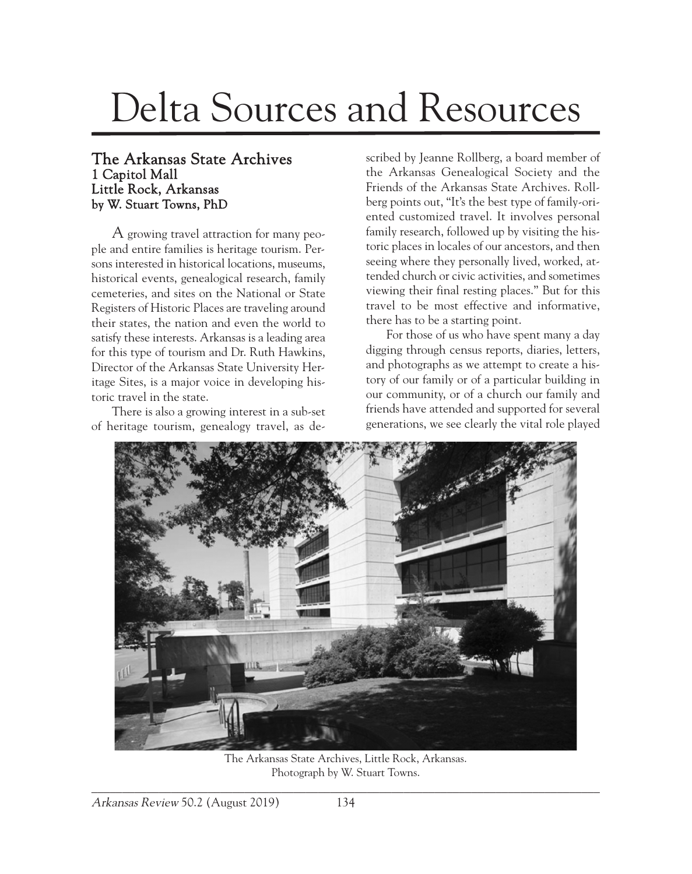## Delta Sources and Resources

## The Arkansas State Archives 1 Capitol Mall Little Rock, Arkansas by W. Stuart Towns, PhD

A growing travel attraction for many people and entire families is heritage tourism. Persons interested in historical locations, museums, historical events, genealogical research, family cemeteries, and sites on the National or State Registers of Historic Places are traveling around their states, the nation and even the world to satisfy these interests. Arkansas is a leading area for this type of tourism and Dr. Ruth Hawkins, Director of the Arkansas State University Heritage Sites, is a major voice in developing historic travel in the state.

There is also a growing interest in a sub-set of heritage tourism, genealogy travel, as de-

scribed by Jeanne Rollberg, a board member of the Arkansas Genealogical Society and the Friends of the Arkansas State Archives. Rollberg points out, "It's the best type of family-oriented customized travel. It involves personal family research, followed up by visiting the historic places in locales of our ancestors, and then seeing where they personally lived, worked, attended church or civic activities, and sometimes viewing their final resting places." But for this travel to be most effective and informative, there has to be a starting point.

For those of us who have spent many a day digging through census reports, diaries, letters, and photographs as we attempt to create a history of our family or of a particular building in our community, or of a church our family and friends have attended and supported for several generations, we see clearly the vital role played



The Arkansas State Archives, Little Rock, Arkansas. Photograph by W. Stuart Towns.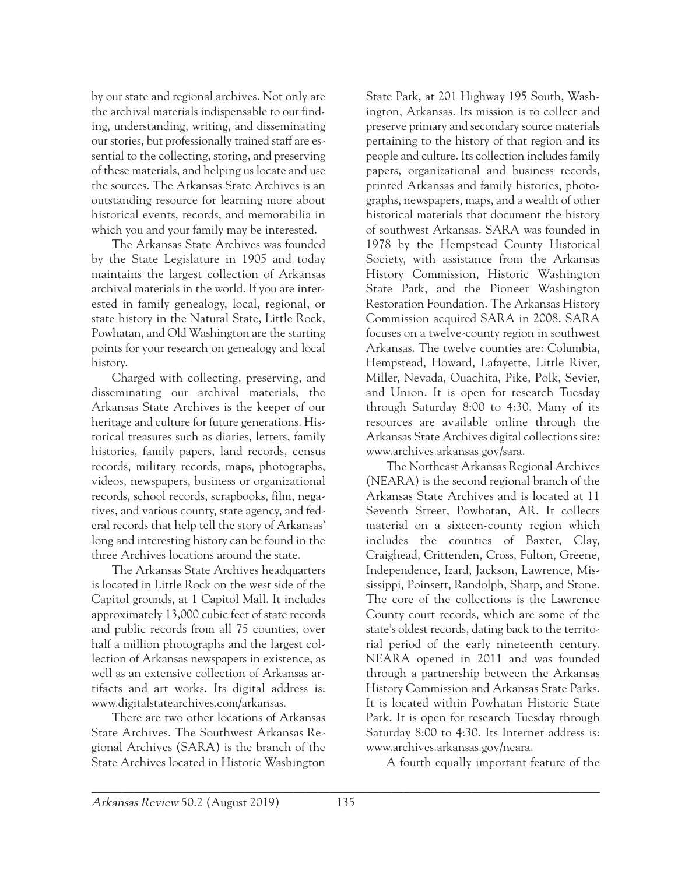by our state and regional archives. Not only are the archival materials indispensable to our finding, understanding, writing, and disseminating our stories, but professionally trained staff are essential to the collecting, storing, and preserving of these materials, and helping us locate and use the sources. The Arkansas State Archives is an outstanding resource for learning more about historical events, records, and memorabilia in which you and your family may be interested.

The Arkansas State Archives was founded by the State Legislature in 1905 and today maintains the largest collection of Arkansas archival materials in the world. If you are interested in family genealogy, local, regional, or state history in the Natural State, Little Rock, Powhatan, and Old Washington are the starting points for your research on genealogy and local history.

Charged with collecting, preserving, and disseminating our archival materials, the Arkansas State Archives is the keeper of our heritage and culture for future generations. Historical treasures such as diaries, letters, family histories, family papers, land records, census records, military records, maps, photographs, videos, newspapers, business or organizational records, school records, scrapbooks, film, negatives, and various county, state agency, and federal records that help tell the story of Arkansas' long and interesting history can be found in the three Archives locations around the state.

The Arkansas State Archives headquarters is located in Little Rock on the west side of the Capitol grounds, at 1 Capitol Mall. It includes approximately 13,000 cubic feet of state records and public records from all 75 counties, over half a million photographs and the largest collection of Arkansas newspapers in existence, as well as an extensive collection of Arkansas artifacts and art works. Its digital address is: www.digitalstatearchives.com/arkansas.

There are two other locations of Arkansas State Archives. The Southwest Arkansas Regional Archives (SARA) is the branch of the State Archives located in Historic Washington

State Park, at 201 Highway 195 South, Washington, Arkansas. Its mission is to collect and preserve primary and secondary source materials pertaining to the history of that region and its people and culture. Its collection includes family papers, organizational and business records, printed Arkansas and family histories, photographs, newspapers, maps, and a wealth of other historical materials that document the history of southwest Arkansas. SARA was founded in 1978 by the Hempstead County Historical Society, with assistance from the Arkansas History Commission, Historic Washington State Park, and the Pioneer Washington Restoration Foundation. The Arkansas History Commission acquired SARA in 2008. SARA focuses on a twelve-county region in southwest Arkansas. The twelve counties are: Columbia, Hempstead, Howard, Lafayette, Little River, Miller, Nevada, Ouachita, Pike, Polk, Sevier, and Union. It is open for research Tuesday through Saturday 8:00 to 4:30. Many of its resources are available online through the Arkansas State Archives digital collections site: www.archives.arkansas.gov/sara.

The Northeast Arkansas Regional Archives (NEARA) is the second regional branch of the Arkansas State Archives and is located at 11 Seventh Street, Powhatan, AR. It collects material on a sixteen-county region which includes the counties of Baxter, Clay, Craighead, Crittenden, Cross, Fulton, Greene, Independence, Izard, Jackson, Lawrence, Mississippi, Poinsett, Randolph, Sharp, and Stone. The core of the collections is the Lawrence County court records, which are some of the state's oldest records, dating back to the territorial period of the early nineteenth century. NEARA opened in 2011 and was founded through a partnership between the Arkansas History Commission and Arkansas State Parks. It is located within Powhatan Historic State Park. It is open for research Tuesday through Saturday 8:00 to 4:30. Its Internet address is: www.archives.arkansas.gov/neara.

A fourth equally important feature of the